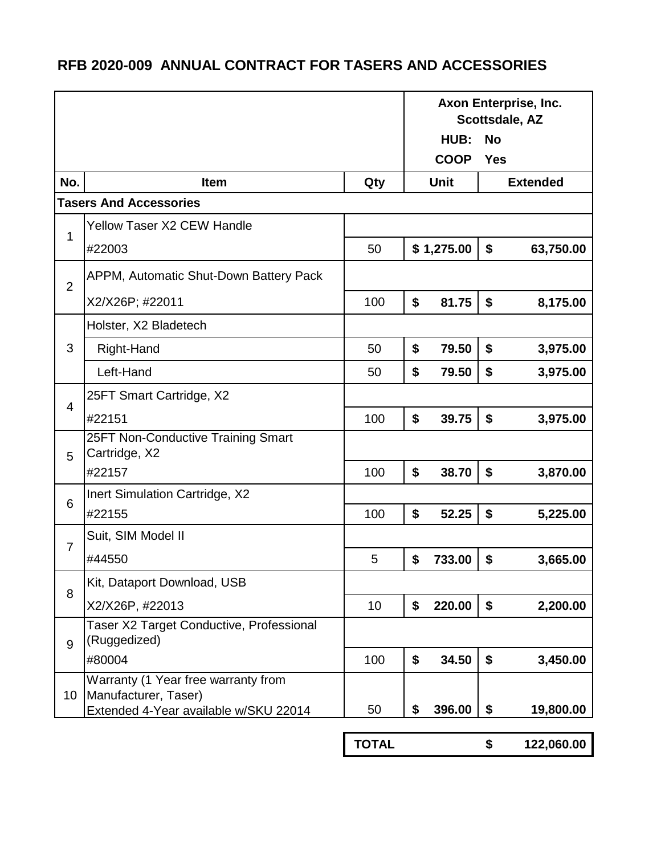## **RFB 2020-009 ANNUAL CONTRACT FOR TASERS AND ACCESSORIES**

|                |                                                     |              | Axon Enterprise, Inc.<br>Scottsdale, AZ |             |            |                 |
|----------------|-----------------------------------------------------|--------------|-----------------------------------------|-------------|------------|-----------------|
|                |                                                     |              |                                         | HUB:        | <b>No</b>  |                 |
|                |                                                     |              |                                         | <b>COOP</b> | <b>Yes</b> |                 |
| No.            | Item                                                | Qty          |                                         | <b>Unit</b> |            | <b>Extended</b> |
|                | <b>Tasers And Accessories</b>                       |              |                                         |             |            |                 |
| 1              | <b>Yellow Taser X2 CEW Handle</b>                   |              |                                         |             |            |                 |
|                | #22003                                              | 50           |                                         | \$1,275.00  | \$         | 63,750.00       |
| $\overline{2}$ | APPM, Automatic Shut-Down Battery Pack              |              |                                         |             |            |                 |
|                | X2/X26P; #22011                                     | 100          | \$                                      | 81.75       | \$         | 8,175.00        |
| 3              | Holster, X2 Bladetech                               |              |                                         |             |            |                 |
|                | Right-Hand                                          | 50           | \$                                      | 79.50       | \$         | 3,975.00        |
|                | Left-Hand                                           | 50           | \$                                      | 79.50       | \$         | 3,975.00        |
| 4              | 25FT Smart Cartridge, X2                            |              |                                         |             |            |                 |
|                | #22151                                              | 100          | \$                                      | 39.75       | \$         | 3,975.00        |
| 5              | 25FT Non-Conductive Training Smart<br>Cartridge, X2 |              |                                         |             |            |                 |
|                | #22157                                              | 100          | \$                                      | 38.70       | \$         | 3,870.00        |
| 6              | Inert Simulation Cartridge, X2                      |              |                                         |             |            |                 |
|                | #22155                                              | 100          | \$                                      | 52.25       | \$         | 5,225.00        |
| $\overline{7}$ | Suit, SIM Model II                                  |              |                                         |             |            |                 |
|                | #44550                                              | 5            | \$                                      | 733.00      | \$         | 3,665.00        |
| 8              | Kit, Dataport Download, USB                         |              |                                         |             |            |                 |
|                | X2/X26P, #22013                                     | 10           | \$                                      | 220.00      | \$         | 2,200.00        |
| 9<br>10        | Taser X2 Target Conductive, Professional            |              |                                         |             |            |                 |
|                | (Ruggedized)<br>#80004                              | 100          | \$                                      | 34.50       | \$         | 3,450.00        |
|                | Warranty (1 Year free warranty from                 |              |                                         |             |            |                 |
|                | Manufacturer, Taser)                                |              |                                         |             |            |                 |
|                | Extended 4-Year available w/SKU 22014               | 50           | \$                                      | 396.00      | \$         | 19,800.00       |
|                |                                                     | <b>TOTAL</b> |                                         |             | \$         | 122,060.00      |